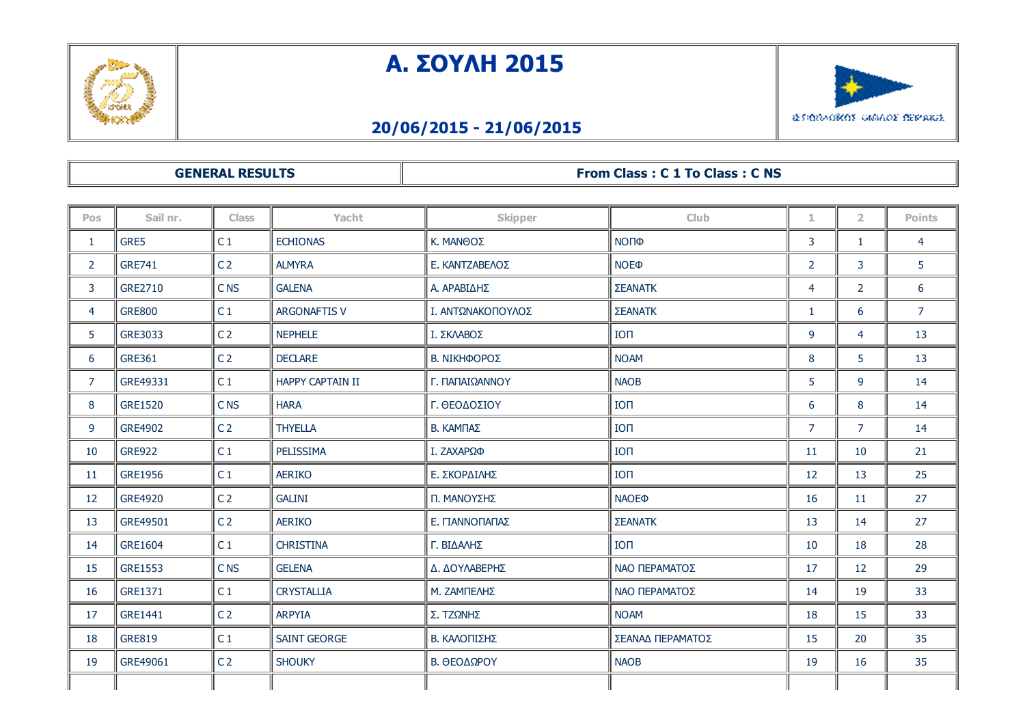

## Α. ΣΟΥΛΗ 2015



## 20/06/2015 21/06/2015

## GENERAL RESULTS **From Class : C 1 To Class : C NS**

| Pos            | Sail nr.       | <b>Class</b>    | Yacht                   | <b>Skipper</b>    | Club                    | 1.             | $\overline{2}$ | Points         |
|----------------|----------------|-----------------|-------------------------|-------------------|-------------------------|----------------|----------------|----------------|
| $\mathbf{1}$   | GRE5           | C <sub>1</sub>  | <b>ECHIONAS</b>         | Κ. ΜΑΝΘΟΣ         | ΝΟΠΦ                    | 3              | 1              | $\overline{4}$ |
| $\overline{2}$ | <b>GRE741</b>  | C <sub>2</sub>  | <b>ALMYRA</b>           | Ε. ΚΑΝΤΖΑΒΕΛΟΣ    | <b>NOE</b> <sup></sup>  | $\overline{2}$ | 3              | 5              |
| 3              | GRE2710        | <b>CNS</b>      | <b>GALENA</b>           | Α. ΑΡΑΒΙΔΗΣ       | ΣΕΑΝΑΤΚ                 | $\overline{4}$ | 2              | 6              |
| 4              | <b>GRE800</b>  | C <sub>1</sub>  | <b>ARGONAFTIS V</b>     | Ι. ΑΝΤΩΝΑΚΟΠΟΥΛΟΣ | ΣΕΑΝΑΤΚ                 | $\mathbf{1}$   | 6              | $\overline{7}$ |
| 5.             | <b>GRE3033</b> | C <sub>2</sub>  | <b>NEPHELE</b>          | Ι. ΣΚΛΑΒΟΣ        | IO <sub>1</sub>         | 9              | 4              | 13             |
| 6              | <b>GRE361</b>  | C <sub>2</sub>  | <b>DECLARE</b>          | Β. ΝΙΚΗΦΟΡΟΣ      | <b>NOAM</b>             | 8              | 5              | 13             |
| $\overline{7}$ | GRE49331       | C <sub>1</sub>  | <b>HAPPY CAPTAIN II</b> | Γ. ΠΑΠΑΙΩΑΝΝΟΥ    | <b>NAOB</b>             | 5              | 9              | 14             |
| 8              | <b>GRE1520</b> | C <sub>NS</sub> | <b>HARA</b>             | Γ. ΘΕΟΔΟΣΙΟΥ      | IO <sub>1</sub>         | 6              | 8              | 14             |
| 9              | <b>GRE4902</b> | C <sub>2</sub>  | <b>THYELLA</b>          | Β. ΚΑΜΠΑΣ         | IO <sub>II</sub>        | $\overline{7}$ | $\overline{7}$ | 14             |
| 10             | <b>GRE922</b>  | C <sub>1</sub>  | PELISSIMA               | Ι. ΖΑΧΑΡΩΦ        | IO <sub>II</sub>        | 11             | 10             | 21             |
| 11             | GRE1956        | C <sub>1</sub>  | <b>AERIKO</b>           | Ε. ΣΚΟΡΔΙΛΗΣ      | IO <sub>II</sub>        | 12             | 13             | 25             |
| 12             | <b>GRE4920</b> | C <sub>2</sub>  | <b>GALINI</b>           | Π. ΜΑΝΟΥΣΗΣ       | <b>NAOE</b> <sup></sup> | 16             | 11             | 27             |
| 13             | GRE49501       | C <sub>2</sub>  | <b>AERIKO</b>           | Ε. ΠΑΝΝΟΠΑΠΑΣ     | ΣΕΑΝΑΤΚ                 | 13             | 14             | 27             |
| 14             | <b>GRE1604</b> | C <sub>1</sub>  | <b>CHRISTINA</b>        | Γ. ΒΙΔΑΛΗΣ        | <b>ION</b>              | 10             | 18             | 28             |
| 15             | <b>GRE1553</b> | C <sub>NS</sub> | <b>GELENA</b>           | Δ. ΔΟΥΛΑΒΕΡΗΣ     | ΝΑΟ ΠΕΡΑΜΑΤΟΣ           | 17             | 12             | 29             |
| 16             | GRE1371        | C <sub>1</sub>  | <b>CRYSTALLIA</b>       | Μ. ΖΑΜΠΕΛΗΣ       | ΝΑΟ ΠΕΡΑΜΑΤΟΣ           | 14             | 19             | 33             |
| 17             | <b>GRE1441</b> | C <sub>2</sub>  | <b>ARPYIA</b>           | Σ. ΤΖΩΝΗΣ         | <b>NOAM</b>             | 18             | 15             | 33             |
| 18             | <b>GRE819</b>  | C <sub>1</sub>  | <b>SAINT GEORGE</b>     | Β. ΚΑΛΟΠΙΣΗΣ      | ΣΕΑΝΑΔ ΠΕΡΑΜΑΤΟΣ        | 15             | 20             | 35             |
| 19             | GRE49061       | C <sub>2</sub>  | <b>SHOUKY</b>           | Β. ΘΕΟΔΩΡΟΥ       | <b>NAOB</b>             | 19             | 16             | 35             |
|                |                |                 |                         |                   |                         |                |                |                |